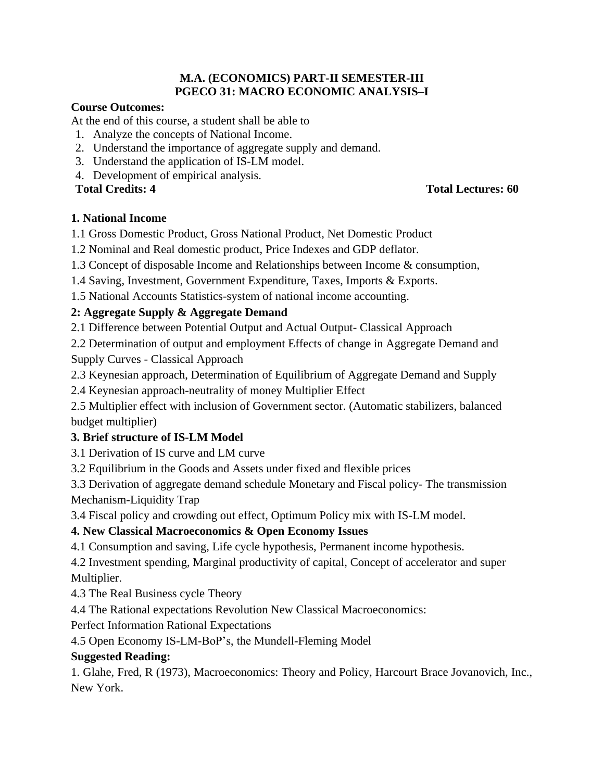#### **M.A. (ECONOMICS) PART-II SEMESTER-III PGECO 31: MACRO ECONOMIC ANALYSIS–I**

### **Course Outcomes:**

At the end of this course, a student shall be able to

- 1. Analyze the concepts of National Income.
- 2. Understand the importance of aggregate supply and demand.
- 3. Understand the application of IS-LM model.
- 4. Development of empirical analysis.

### **Total Credits: 4 Total Lectures: 60**

# **1. National Income**

1.1 Gross Domestic Product, Gross National Product, Net Domestic Product

- 1.2 Nominal and Real domestic product, Price Indexes and GDP deflator.
- 1.3 Concept of disposable Income and Relationships between Income & consumption,
- 1.4 Saving, Investment, Government Expenditure, Taxes, Imports & Exports.
- 1.5 National Accounts Statistics-system of national income accounting.

# **2: Aggregate Supply & Aggregate Demand**

2.1 Difference between Potential Output and Actual Output- Classical Approach

2.2 Determination of output and employment Effects of change in Aggregate Demand and Supply Curves - Classical Approach

- 2.3 Keynesian approach, Determination of Equilibrium of Aggregate Demand and Supply
- 2.4 Keynesian approach-neutrality of money Multiplier Effect

2.5 Multiplier effect with inclusion of Government sector. (Automatic stabilizers, balanced budget multiplier)

# **3. Brief structure of IS-LM Model**

- 3.1 Derivation of IS curve and LM curve
- 3.2 Equilibrium in the Goods and Assets under fixed and flexible prices

3.3 Derivation of aggregate demand schedule Monetary and Fiscal policy- The transmission Mechanism-Liquidity Trap

3.4 Fiscal policy and crowding out effect, Optimum Policy mix with IS-LM model.

# **4. New Classical Macroeconomics & Open Economy Issues**

4.1 Consumption and saving, Life cycle hypothesis, Permanent income hypothesis.

4.2 Investment spending, Marginal productivity of capital, Concept of accelerator and super Multiplier.

4.3 The Real Business cycle Theory

4.4 The Rational expectations Revolution New Classical Macroeconomics:

Perfect Information Rational Expectations

4.5 Open Economy IS-LM-BoP's, the Mundell-Fleming Model

# **Suggested Reading:**

1. Glahe, Fred, R (1973), Macroeconomics: Theory and Policy, Harcourt Brace Jovanovich, Inc., New York.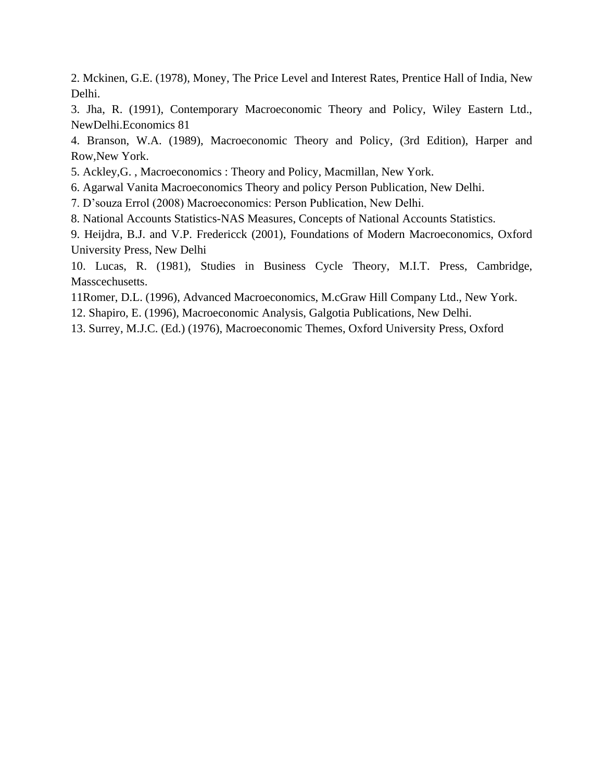2. Mckinen, G.E. (1978), Money, The Price Level and Interest Rates, Prentice Hall of India, New Delhi.

3. Jha, R. (1991), Contemporary Macroeconomic Theory and Policy, Wiley Eastern Ltd., NewDelhi.Economics 81

4. Branson, W.A. (1989), Macroeconomic Theory and Policy, (3rd Edition), Harper and Row,New York.

- 5. Ackley,G. , Macroeconomics : Theory and Policy, Macmillan, New York.
- 6. Agarwal Vanita Macroeconomics Theory and policy Person Publication, New Delhi.
- 7. D'souza Errol (2008) Macroeconomics: Person Publication, New Delhi.
- 8. National Accounts Statistics-NAS Measures, Concepts of National Accounts Statistics.

9. Heijdra, B.J. and V.P. Fredericck (2001), Foundations of Modern Macroeconomics, Oxford University Press, New Delhi

10. Lucas, R. (1981), Studies in Business Cycle Theory, M.I.T. Press, Cambridge, Masscechusetts.

11Romer, D.L. (1996), Advanced Macroeconomics, M.cGraw Hill Company Ltd., New York.

12. Shapiro, E. (1996), Macroeconomic Analysis, Galgotia Publications, New Delhi.

13. Surrey, M.J.C. (Ed.) (1976), Macroeconomic Themes, Oxford University Press, Oxford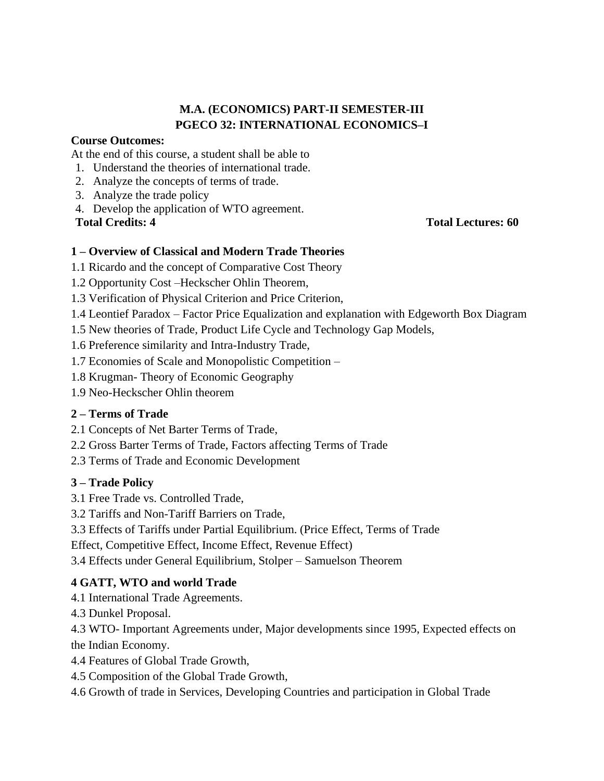# **M.A. (ECONOMICS) PART-II SEMESTER-III PGECO 32: INTERNATIONAL ECONOMICS–I**

#### **Course Outcomes:**

At the end of this course, a student shall be able to

- 1. Understand the theories of international trade.
- 2. Analyze the concepts of terms of trade.
- 3. Analyze the trade policy
- 4. Develop the application of WTO agreement.

#### **Total Credits: 4 Total Lectures: 60**

### **1 – Overview of Classical and Modern Trade Theories**

- 1.1 Ricardo and the concept of Comparative Cost Theory
- 1.2 Opportunity Cost –Heckscher Ohlin Theorem,
- 1.3 Verification of Physical Criterion and Price Criterion,
- 1.4 Leontief Paradox Factor Price Equalization and explanation with Edgeworth Box Diagram
- 1.5 New theories of Trade, Product Life Cycle and Technology Gap Models,
- 1.6 Preference similarity and Intra-Industry Trade,
- 1.7 Economies of Scale and Monopolistic Competition –
- 1.8 Krugman- Theory of Economic Geography
- 1.9 Neo-Heckscher Ohlin theorem

# **2 – Terms of Trade**

- 2.1 Concepts of Net Barter Terms of Trade,
- 2.2 Gross Barter Terms of Trade, Factors affecting Terms of Trade
- 2.3 Terms of Trade and Economic Development

# **3 – Trade Policy**

- 3.1 Free Trade vs. Controlled Trade,
- 3.2 Tariffs and Non-Tariff Barriers on Trade,
- 3.3 Effects of Tariffs under Partial Equilibrium. (Price Effect, Terms of Trade

Effect, Competitive Effect, Income Effect, Revenue Effect)

3.4 Effects under General Equilibrium, Stolper – Samuelson Theorem

# **4 GATT, WTO and world Trade**

- 4.1 International Trade Agreements.
- 4.3 Dunkel Proposal.

4.3 WTO- Important Agreements under, Major developments since 1995, Expected effects on the Indian Economy.

- 4.4 Features of Global Trade Growth,
- 4.5 Composition of the Global Trade Growth,
- 4.6 Growth of trade in Services, Developing Countries and participation in Global Trade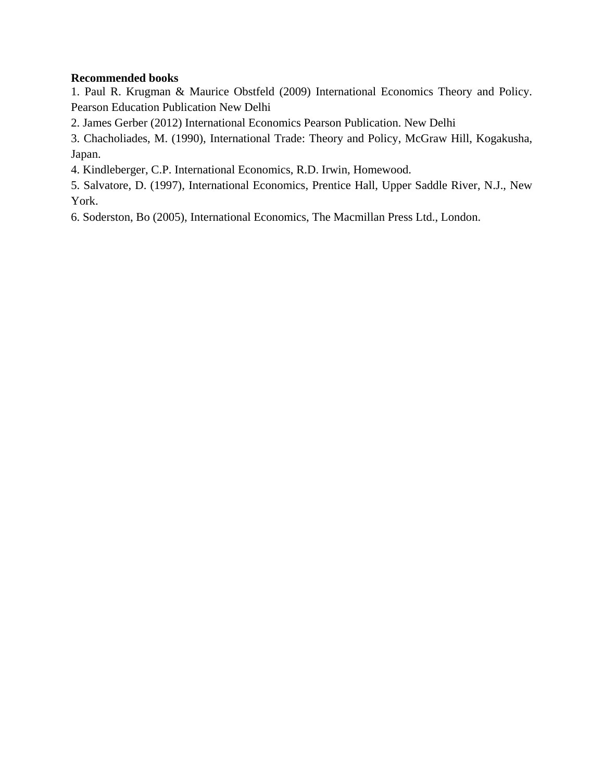#### **Recommended books**

1. Paul R. Krugman & Maurice Obstfeld (2009) International Economics Theory and Policy. Pearson Education Publication New Delhi

2. James Gerber (2012) International Economics Pearson Publication. New Delhi

3. Chacholiades, M. (1990), International Trade: Theory and Policy, McGraw Hill, Kogakusha, Japan.

4. Kindleberger, C.P. International Economics, R.D. Irwin, Homewood.

5. Salvatore, D. (1997), International Economics, Prentice Hall, Upper Saddle River, N.J., New York.

6. Soderston, Bo (2005), International Economics, The Macmillan Press Ltd., London.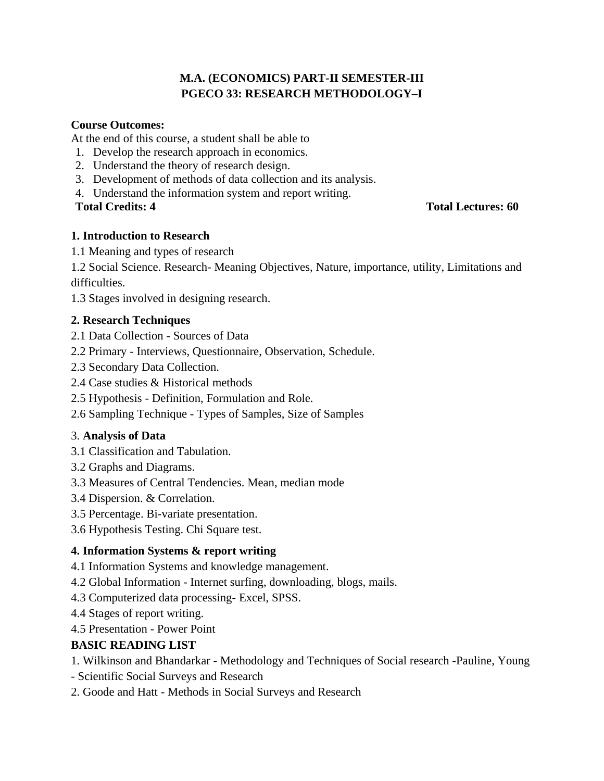# **M.A. (ECONOMICS) PART-II SEMESTER-III PGECO 33: RESEARCH METHODOLOGY–I**

### **Course Outcomes:**

At the end of this course, a student shall be able to

- 1. Develop the research approach in economics.
- 2. Understand the theory of research design.
- 3. Development of methods of data collection and its analysis.
- 4. Understand the information system and report writing.

### **1. Introduction to Research**

1.1 Meaning and types of research

1.2 Social Science. Research- Meaning Objectives, Nature, importance, utility, Limitations and difficulties.

1.3 Stages involved in designing research.

# **2. Research Techniques**

2.1 Data Collection - Sources of Data

- 2.2 Primary Interviews, Questionnaire, Observation, Schedule.
- 2.3 Secondary Data Collection.
- 2.4 Case studies & Historical methods
- 2.5 Hypothesis Definition, Formulation and Role.

2.6 Sampling Technique - Types of Samples, Size of Samples

#### 3. **Analysis of Data**

- 3.1 Classification and Tabulation.
- 3.2 Graphs and Diagrams.
- 3.3 Measures of Central Tendencies. Mean, median mode
- 3.4 Dispersion. & Correlation.
- 3.5 Percentage. Bi-variate presentation.
- 3.6 Hypothesis Testing. Chi Square test.

# **4. Information Systems & report writing**

- 4.1 Information Systems and knowledge management.
- 4.2 Global Information Internet surfing, downloading, blogs, mails.
- 4.3 Computerized data processing- Excel, SPSS.
- 4.4 Stages of report writing.
- 4.5 Presentation Power Point

# **BASIC READING LIST**

1. Wilkinson and Bhandarkar - Methodology and Techniques of Social research -Pauline, Young

- Scientific Social Surveys and Research
- 2. Goode and Hatt Methods in Social Surveys and Research

### **Total Credits: 4 Total Lectures: 60**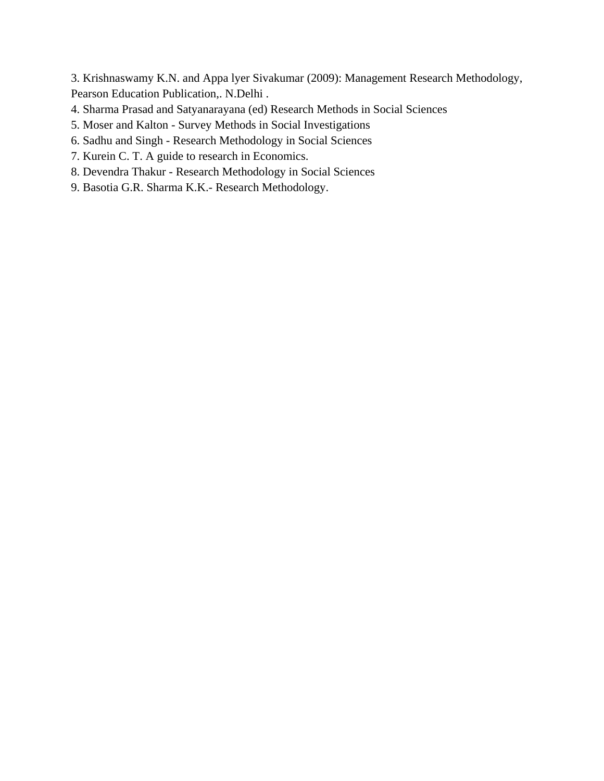3. Krishnaswamy K.N. and Appa lyer Sivakumar (2009): Management Research Methodology, Pearson Education Publication,. N.Delhi .

- 4. Sharma Prasad and Satyanarayana (ed) Research Methods in Social Sciences
- 5. Moser and Kalton Survey Methods in Social Investigations
- 6. Sadhu and Singh Research Methodology in Social Sciences
- 7. Kurein C. T. A guide to research in Economics.
- 8. Devendra Thakur Research Methodology in Social Sciences
- 9. Basotia G.R. Sharma K.K.- Research Methodology.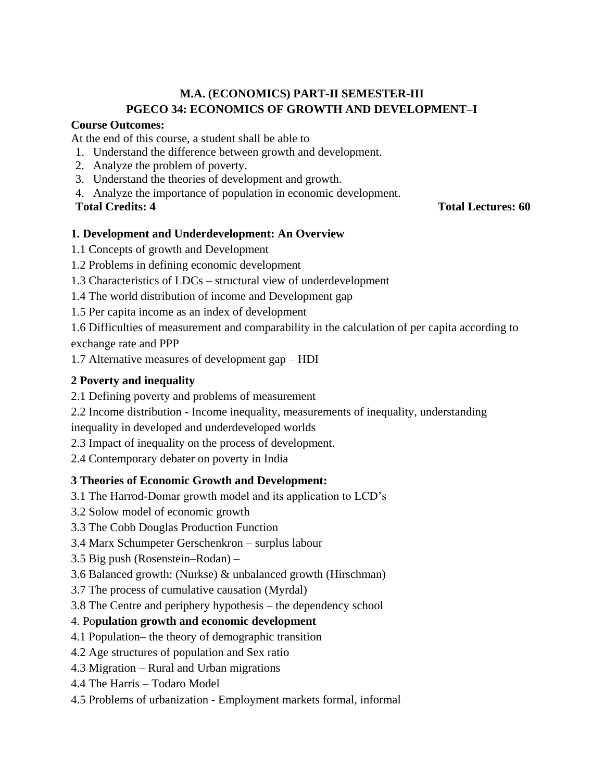# **M.A. (ECONOMICS) PART-II SEMESTER-III PGECO 34: ECONOMICS OF GROWTH AND DEVELOPMENT–I**

#### **Course Outcomes:**

At the end of this course, a student shall be able to

- 1. Understand the difference between growth and development.
- 2. Analyze the problem of poverty.
- 3. Understand the theories of development and growth.
- 4. Analyze the importance of population in economic development.

### **Total Credits: 4 Total Lectures: 60**

### **1. Development and Underdevelopment: An Overview**

- 1.1 Concepts of growth and Development
- 1.2 Problems in defining economic development
- 1.3 Characteristics of LDCs structural view of underdevelopment
- 1.4 The world distribution of income and Development gap
- 1.5 Per capita income as an index of development

1.6 Difficulties of measurement and comparability in the calculation of per capita according to exchange rate and PPP

1.7 Alternative measures of development gap – HDI

# **2 Poverty and inequality**

2.1 Defining poverty and problems of measurement

2.2 Income distribution - Income inequality, measurements of inequality, understanding inequality in developed and underdeveloped worlds

- 2.3 Impact of inequality on the process of development.
- 2.4 Contemporary debater on poverty in India

# **3 Theories of Economic Growth and Development:**

- 3.1 The Harrod-Domar growth model and its application to LCD's
- 3.2 Solow model of economic growth
- 3.3 The Cobb Douglas Production Function
- 3.4 Marx Schumpeter Gerschenkron surplus labour
- 3.5 Big push (Rosenstein–Rodan) –
- 3.6 Balanced growth: (Nurkse) & unbalanced growth (Hirschman)
- 3.7 The process of cumulative causation (Myrdal)
- 3.8 The Centre and periphery hypothesis the dependency school

# 4. Po**pulation growth and economic development**

- 4.1 Population– the theory of demographic transition
- 4.2 Age structures of population and Sex ratio
- 4.3 Migration Rural and Urban migrations
- 4.4 The Harris Todaro Model
- 4.5 Problems of urbanization Employment markets formal, informal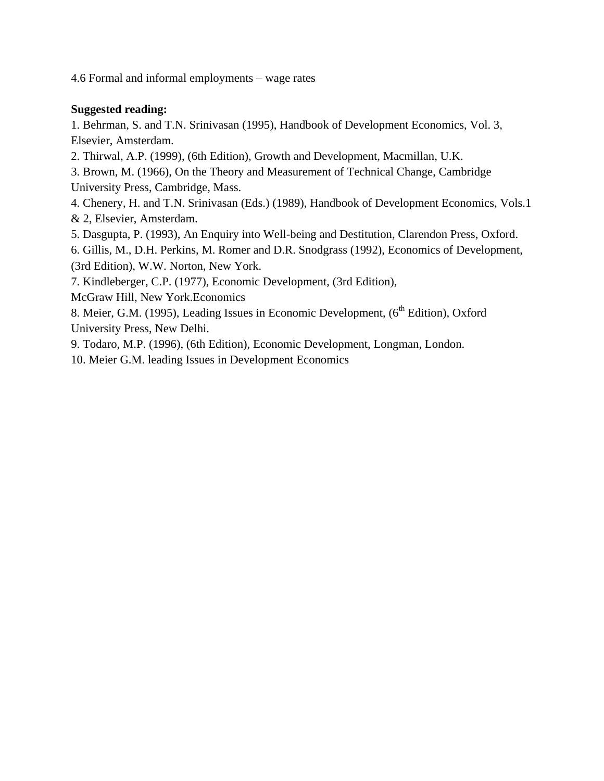4.6 Formal and informal employments – wage rates

#### **Suggested reading:**

1. Behrman, S. and T.N. Srinivasan (1995), Handbook of Development Economics, Vol. 3, Elsevier, Amsterdam.

2. Thirwal, A.P. (1999), (6th Edition), Growth and Development, Macmillan, U.K.

3. Brown, M. (1966), On the Theory and Measurement of Technical Change, Cambridge University Press, Cambridge, Mass.

4. Chenery, H. and T.N. Srinivasan (Eds.) (1989), Handbook of Development Economics, Vols.1 & 2, Elsevier, Amsterdam.

5. Dasgupta, P. (1993), An Enquiry into Well-being and Destitution, Clarendon Press, Oxford.

6. Gillis, M., D.H. Perkins, M. Romer and D.R. Snodgrass (1992), Economics of Development,

(3rd Edition), W.W. Norton, New York.

7. Kindleberger, C.P. (1977), Economic Development, (3rd Edition),

McGraw Hill, New York.Economics

8. Meier, G.M. (1995), Leading Issues in Economic Development, (6<sup>th</sup> Edition), Oxford University Press, New Delhi.

9. Todaro, M.P. (1996), (6th Edition), Economic Development, Longman, London.

10. Meier G.M. leading Issues in Development Economics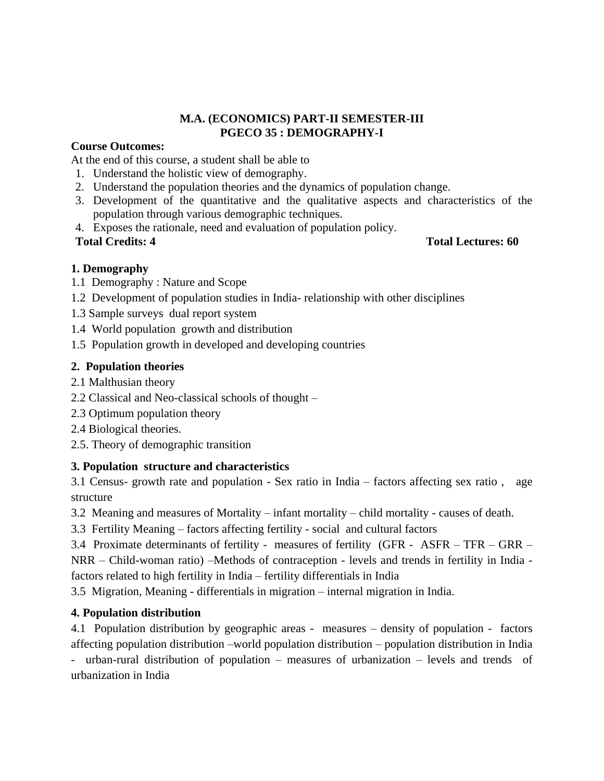#### **M.A. (ECONOMICS) PART-II SEMESTER-III PGECO 35 : DEMOGRAPHY-I**

#### **Course Outcomes:**

At the end of this course, a student shall be able to

- 1. Understand the holistic view of demography.
- 2. Understand the population theories and the dynamics of population change.
- 3. Development of the quantitative and the qualitative aspects and characteristics of the population through various demographic techniques.
- 4. Exposes the rationale, need and evaluation of population policy.

**Total Credits: 4 Total Lectures: 60**

# **1. Demography**

- 1.1 Demography : Nature and Scope
- 1.2 Development of population studies in India- relationship with other disciplines
- 1.3 Sample surveys dual report system
- 1.4 World population growth and distribution
- 1.5 Population growth in developed and developing countries

# **2. Population theories**

- 2.1 Malthusian theory
- 2.2 Classical and Neo-classical schools of thought –
- 2.3 Optimum population theory
- 2.4 Biological theories.
- 2.5. Theory of demographic transition

# **3. Population structure and characteristics**

3.1 Census- growth rate and population - Sex ratio in India – factors affecting sex ratio , age structure

3.2 Meaning and measures of Mortality – infant mortality – child mortality - causes of death.

3.3 Fertility Meaning – factors affecting fertility - social and cultural factors

3.4 Proximate determinants of fertility - measures of fertility (GFR - ASFR – TFR – GRR – NRR – Child-woman ratio) –Methods of contraception - levels and trends in fertility in India factors related to high fertility in India – fertility differentials in India

3.5 Migration, Meaning - differentials in migration – internal migration in India.

# **4. Population distribution**

4.1 Population distribution by geographic areas - measures – density of population - factors affecting population distribution –world population distribution – population distribution in India - urban-rural distribution of population – measures of urbanization – levels and trends of urbanization in India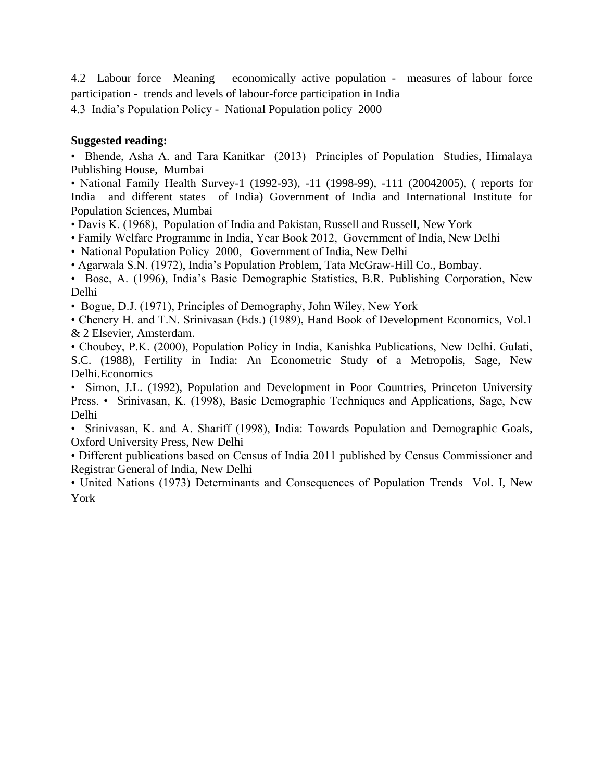4.2 Labour force Meaning – economically active population - measures of labour force participation - trends and levels of labour-force participation in India

4.3 India's Population Policy - National Population policy 2000

#### **Suggested reading:**

• Bhende, Asha A. and Tara Kanitkar (2013) Principles of Population Studies, Himalaya Publishing House, Mumbai

• National Family Health Survey-1 (1992-93), -11 (1998-99), -111 (20042005), (reports for India and different states of India) Government of India and International Institute for Population Sciences, Mumbai

• Davis K. (1968), Population of India and Pakistan, Russell and Russell, New York

- Family Welfare Programme in India, Year Book 2012, Government of India, New Delhi
- National Population Policy 2000, Government of India, New Delhi
- Agarwala S.N. (1972), India's Population Problem, Tata McGraw-Hill Co., Bombay.

• Bose, A. (1996), India's Basic Demographic Statistics, B.R. Publishing Corporation, New Delhi

• Bogue, D.J. (1971), Principles of Demography, John Wiley, New York

• Chenery H. and T.N. Srinivasan (Eds.) (1989), Hand Book of Development Economics, Vol.1 & 2 Elsevier, Amsterdam.

• Choubey, P.K. (2000), Population Policy in India, Kanishka Publications, New Delhi. Gulati, S.C. (1988), Fertility in India: An Econometric Study of a Metropolis, Sage, New Delhi.Economics

• Simon, J.L. (1992), Population and Development in Poor Countries, Princeton University Press. • Srinivasan, K. (1998), Basic Demographic Techniques and Applications, Sage, New Delhi

• Srinivasan, K. and A. Shariff (1998), India: Towards Population and Demographic Goals, Oxford University Press, New Delhi

• Different publications based on Census of India 2011 published by Census Commissioner and Registrar General of India, New Delhi

• United Nations (1973) Determinants and Consequences of Population Trends Vol. I, New York